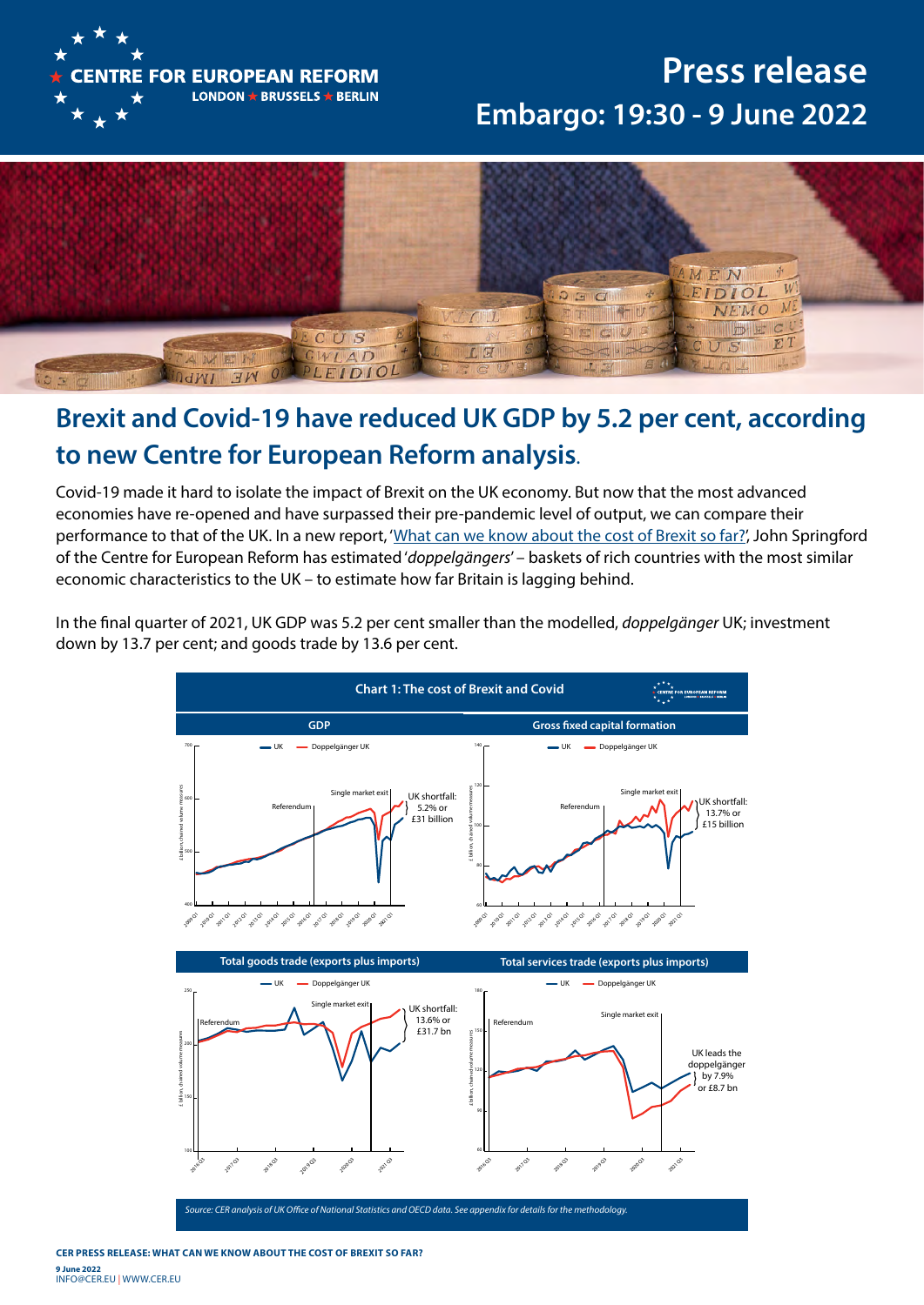

## **Press release Embargo: 19:30 - 9 June 2022**



## **Brexit and Covid-19 have reduced UK GDP by 5.2 per cent, according to new Centre for European Reform analysis**.

Covid-19 made it hard to isolate the impact of Brexit on the UK economy. But now that the most advanced economies have re-opened and have surpassed their pre-pandemic level of output, we can compare their performance to that of the UK. In a new report, '[What can we know about the cost of Brexit so far?](https://www.cer.eu/publications/archive/policy-brief/2022/cost-brexit-so-far)', John Springford of the Centre for European Reform has estimated '*doppelgängers*' – baskets of rich countries with the most similar economic characteristics to the UK – to estimate how far Britain is lagging behind.

In the final quarter of 2021, UK GDP was 5.2 per cent smaller than the modelled, *doppelgänger* UK; investment down by 13.7 per cent; and goods trade by 13.6 per cent.



**CER PRESS RELEASE: What can we know about the cost of Brexit so far? 9 June 2022**  info@cer.EU | WWW.CER.EU